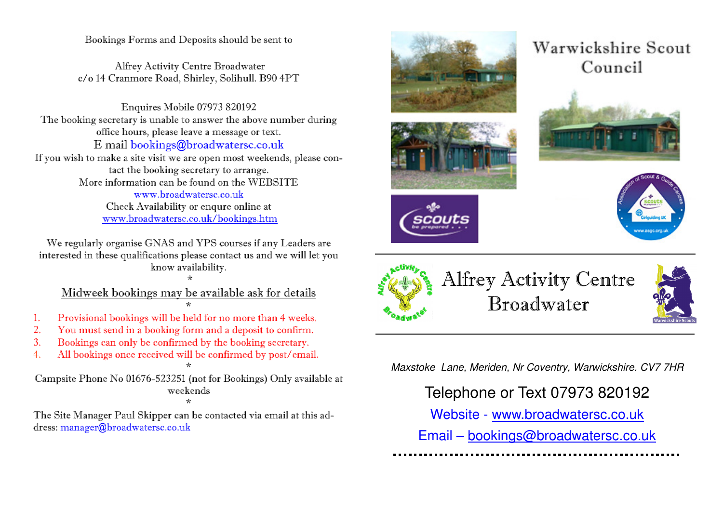Bookings Forms and Deposits should be sent to

 Alfrey Activity Centre Broadwater c/o 14 Cranmore Road, Shirley, Solihull. B90 4PT

Enquires Mobile 07973 820192 The booking secretary is unable to answer the above number during office hours, please leave a message or text. E mail bookings@broadwatersc.co.uk

 If you wish to make a site visit we are open most weekends, please contact the booking secretary to arrange. More information can be found on the WEBSITE www.broadwatersc.co.uk Check Availability or enqure online at www.broadwatersc.co.uk/bookings.htm

We regularly organise GNAS and YPS courses if any Leaders are interested in these qualifications please contact us and we will let you know availability.

 \* Midweek bookings may be available ask for details \*

- 1. Provisional bookings will be held for no more than 4 weeks.
- 2. You must send in a booking form and a deposit to confirm.
- 3. Bookings can only be confirmed by the booking secretary.
- 4. All bookings once received will be confirmed by post/email.

\*

Campsite Phone No 01676-523251 (not for Bookings) Only available at weekends \*

 The Site Manager Paul Skipper can be contacted via email at this address: manager@broadwatersc.co.uk



# Warwickshire Scout Council







Alfrey Activity Centre Broadwater



Maxstoke Lane, Meriden, Nr Coventry, Warwickshire. CV7 7HR

## Telephone or Text 07973 820192

Website - www.broadwatersc.co.uk

Email – bookings@broadwatersc.co.uk